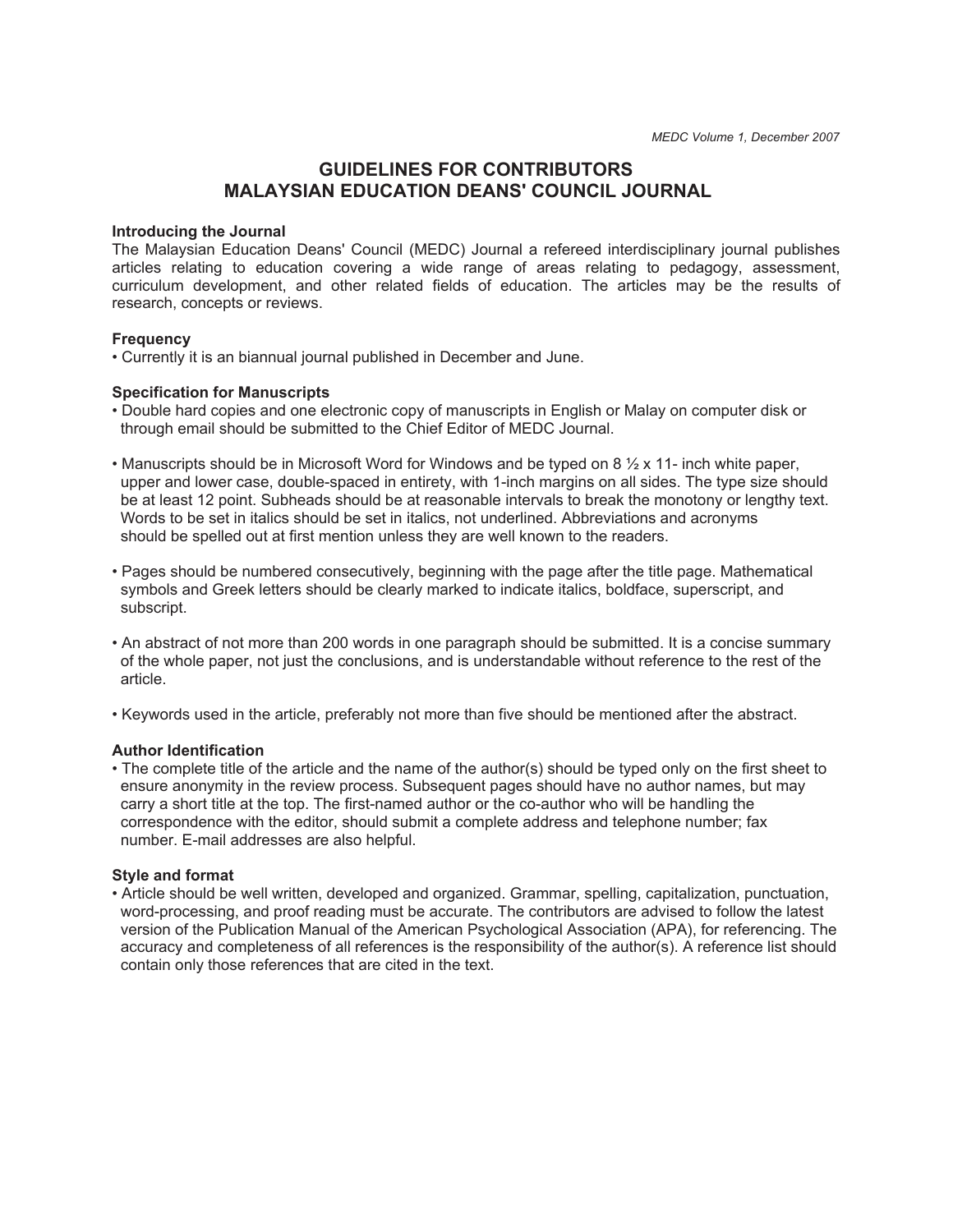# **GUIDELINES FOR CONTRIBUTORS MALAYSIAN EDUCATION DEANS' COUNCIL JOURNAL**

#### **Introducing the Journal**

The Malaysian Education Deans' Council (MEDC) Journal a refereed interdisciplinary journal publishes articles relating to education covering a wide range of areas relating to pedagogy, assessment, curriculum development, and other related fields of education. The articles may be the results of research, concepts or reviews.

#### **Frequency**

• Currently it is an biannual journal published in December and June.

#### **Specification for Manuscripts**

- Double hard copies and one electronic copy of manuscripts in English or Malay on computer disk or through email should be submitted to the Chief Editor of MEDC Journal.
- Manuscripts should be in Microsoft Word for Windows and be typed on 8 ½ x 11- inch white paper, upper and lower case, double-spaced in entirety, with 1-inch margins on all sides. The type size should be at least 12 point. Subheads should be at reasonable intervals to break the monotony or lengthy text. Words to be set in italics should be set in italics, not underlined. Abbreviations and acronyms should be spelled out at first mention unless they are well known to the readers.
- Pages should be numbered consecutively, beginning with the page after the title page. Mathematical symbols and Greek letters should be clearly marked to indicate italics, boldface, superscript, and subscript.
- An abstract of not more than 200 words in one paragraph should be submitted. It is a concise summary of the whole paper, not just the conclusions, and is understandable without reference to the rest of the article.
- Keywords used in the article, preferably not more than five should be mentioned after the abstract.

#### **Author Identification**

• The complete title of the article and the name of the author(s) should be typed only on the first sheet to ensure anonymity in the review process. Subsequent pages should have no author names, but may carry a short title at the top. The first-named author or the co-author who will be handling the correspondence with the editor, should submit a complete address and telephone number; fax number. E-mail addresses are also helpful.

### **Style and format**

• Article should be well written, developed and organized. Grammar, spelling, capitalization, punctuation, word-processing, and proof reading must be accurate. The contributors are advised to follow the latest version of the Publication Manual of the American Psychological Association (APA), for referencing. The accuracy and completeness of all references is the responsibility of the author(s). A reference list should contain only those references that are cited in the text.